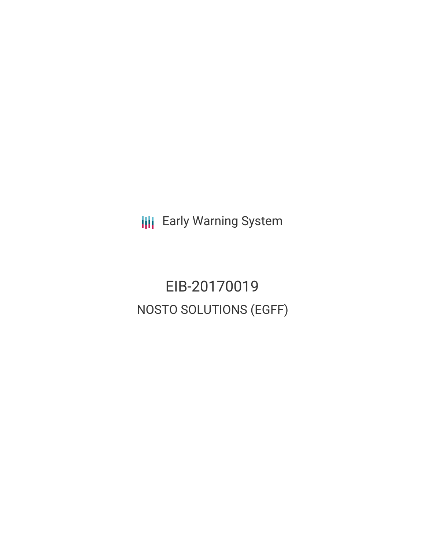**III** Early Warning System

EIB-20170019 NOSTO SOLUTIONS (EGFF)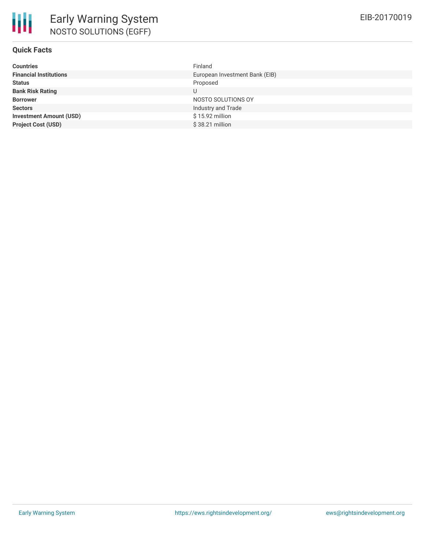# **Quick Facts**

| Finland                        |
|--------------------------------|
| European Investment Bank (EIB) |
| Proposed                       |
| U                              |
| NOSTO SOLUTIONS OY             |
| Industry and Trade             |
| $$15.92$ million               |
| $$38.21$ million               |
|                                |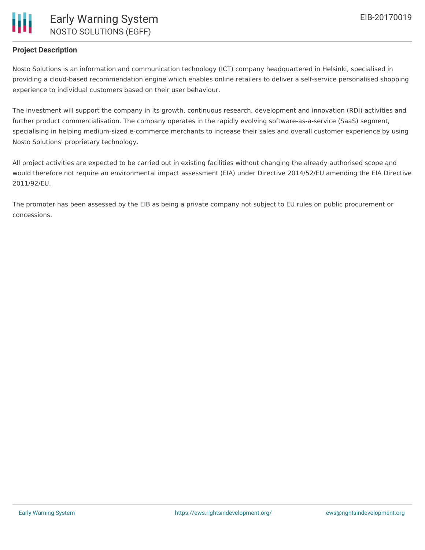

## **Project Description**

Nosto Solutions is an information and communication technology (ICT) company headquartered in Helsinki, specialised in providing a cloud-based recommendation engine which enables online retailers to deliver a self-service personalised shopping experience to individual customers based on their user behaviour.

The investment will support the company in its growth, continuous research, development and innovation (RDI) activities and further product commercialisation. The company operates in the rapidly evolving software-as-a-service (SaaS) segment, specialising in helping medium-sized e-commerce merchants to increase their sales and overall customer experience by using Nosto Solutions' proprietary technology.

All project activities are expected to be carried out in existing facilities without changing the already authorised scope and would therefore not require an environmental impact assessment (EIA) under Directive 2014/52/EU amending the EIA Directive 2011/92/EU.

The promoter has been assessed by the EIB as being a private company not subject to EU rules on public procurement or concessions.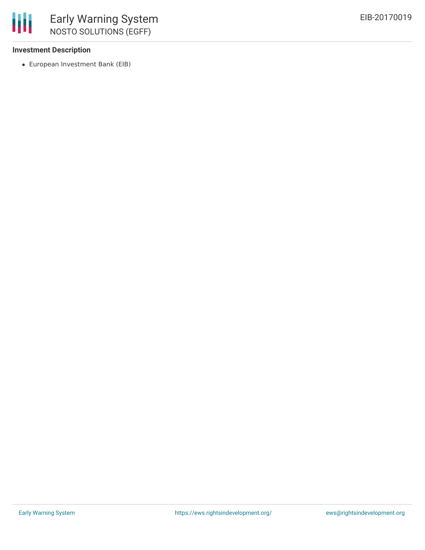### **Investment Description**

European Investment Bank (EIB)